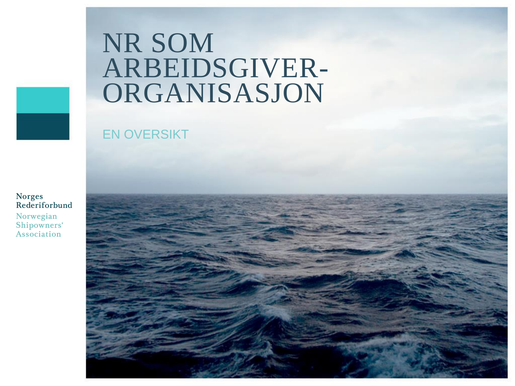

### NR SOM ARBEIDSGIVER-ORGANISASJON

#### **EN OVERSIKT**

**Norges** Rederiforbund Norwegian Shipowners'<br>Association

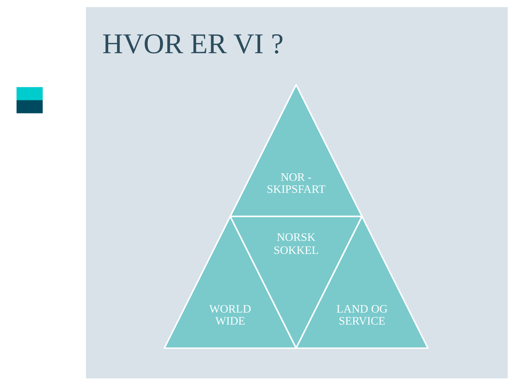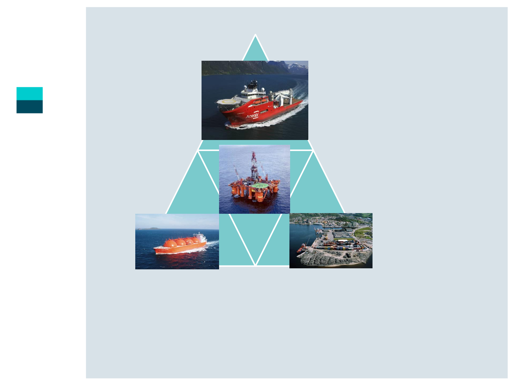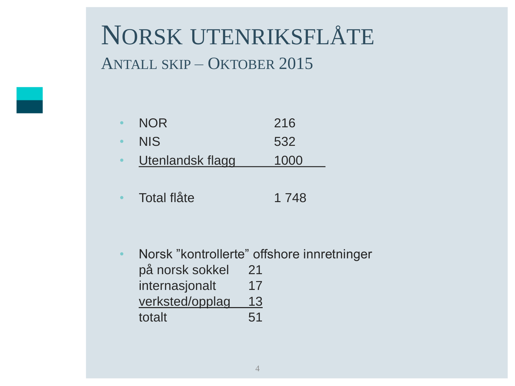## NORSK UTENRIKSFLÅTE ANTALL SKIP – OKTOBER 2015

| <b>NOR</b>       | 216  |
|------------------|------|
| NIS.             | 532  |
| Utenlandsk flagg | 1000 |
|                  |      |

• Total flåte 1 748

• Norsk "kontrollerte" offshore innretninger på norsk sokkel 21 internasjonalt 17 verksted/opplag 13 totalt 51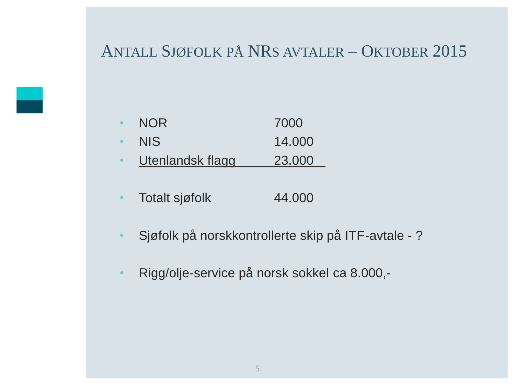#### ANTALL SJØFOLK PÅ NRS AVTALER – OKTOBER 2015

| <b>NOR</b>       | 7000   |
|------------------|--------|
| NIS.             | 14.000 |
| Utenlandsk flagg | 23,000 |
|                  |        |

- Totalt sjøfolk 44.000
- Sjøfolk på norskkontrollerte skip på ITF-avtale ?
- Rigg/olje-service på norsk sokkel ca 8.000,-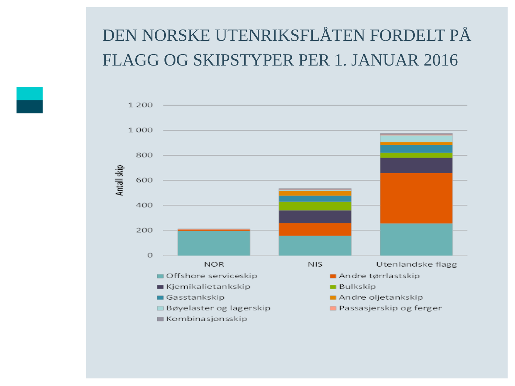#### DEN NORSKE UTENRIKSFLÅTEN FORDELT PÅ FLAGG OG SKIPSTYPER PER 1. JANUAR 2016

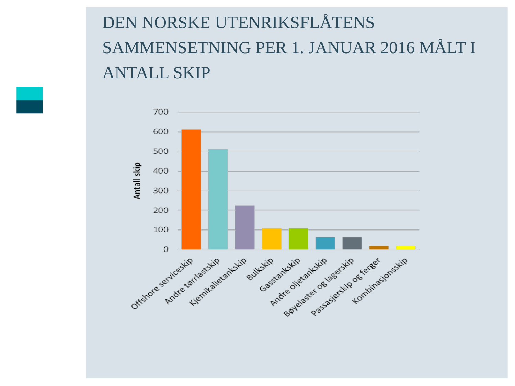#### DEN NORSKE UTENRIKSFLÅTENS SAMMENSETNING PER 1. JANUAR 2016 MÅLT I ANTALL SKIP

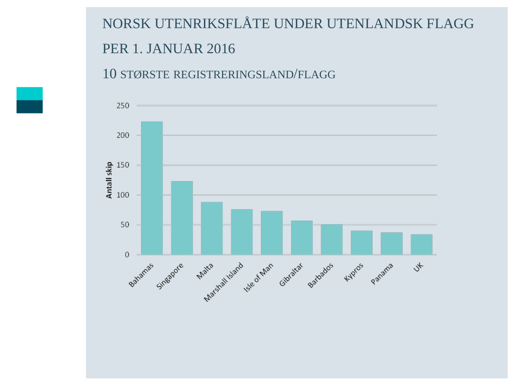#### NORSK UTENRIKSFLÅTE UNDER UTENLANDSK FLAGG PER 1. JANUAR 2016

#### 10 STØRSTE REGISTRERINGSLAND/FLAGG

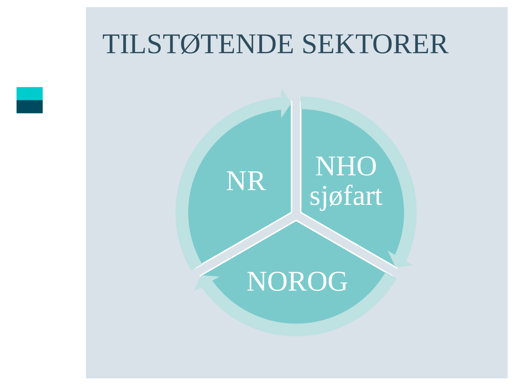# TILSTØTENDE SEKTORER

#### **NHO NR** sjøfart

**NOROG**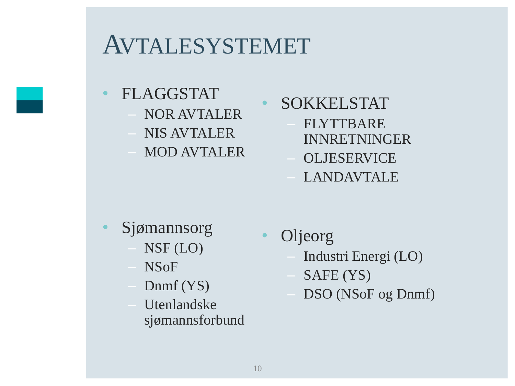## AVTALESYSTEMET

- FLAGGSTAT
	- NOR AVTALER
	- NIS AVTALER
	- MOD AVTALER

#### **SOKKELSTAT**

- **FLYTTBARE** INNRETNINGER
- OLJESERVICE – LANDAVTALE

- Sjømannsorg
	- NSF (LO)
	- NSoF
	- Dnmf (YS)
	- Utenlandske sjømannsforbund
- **Oljeorg** 
	- Industri Energi (LO)
	- SAFE (YS)
	- DSO (NSoF og Dnmf)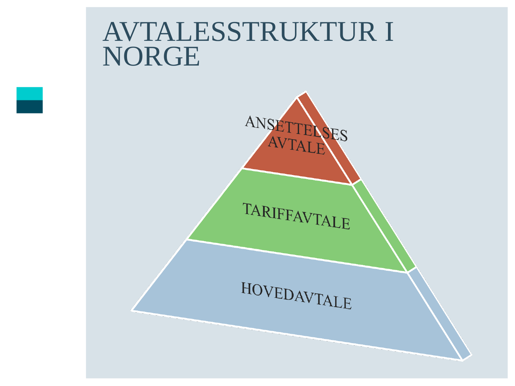## **AVTALESSTRUKTUR I NORGE**

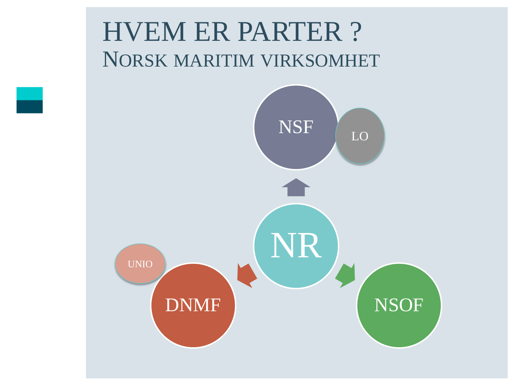## **HVEM ER PARTER ?** NORSK MARITIM VIRKSOMHET

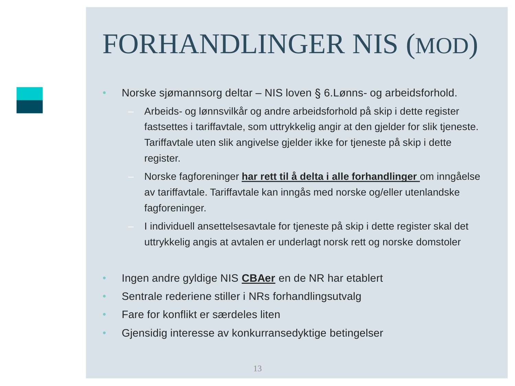# FORHANDLINGER NIS (MOD)

- Norske sjømannsorg deltar NIS loven § 6.Lønns- og arbeidsforhold.
	- Arbeids- og lønnsvilkår og andre arbeidsforhold på skip i dette register fastsettes i tariffavtale, som uttrykkelig angir at den gjelder for slik tjeneste. Tariffavtale uten slik angivelse gjelder ikke for tjeneste på skip i dette register.
	- Norske fagforeninger **har rett til å delta i alle forhandlinger** om inngåelse av tariffavtale. Tariffavtale kan inngås med norske og/eller utenlandske fagforeninger.
	- I individuell ansettelsesavtale for tjeneste på skip i dette register skal det uttrykkelig angis at avtalen er underlagt norsk rett og norske domstoler
- Ingen andre gyldige NIS **CBAer** en de NR har etablert
- Sentrale rederiene stiller i NRs forhandlingsutvalg
- Fare for konflikt er særdeles liten
- Gjensidig interesse av konkurransedyktige betingelser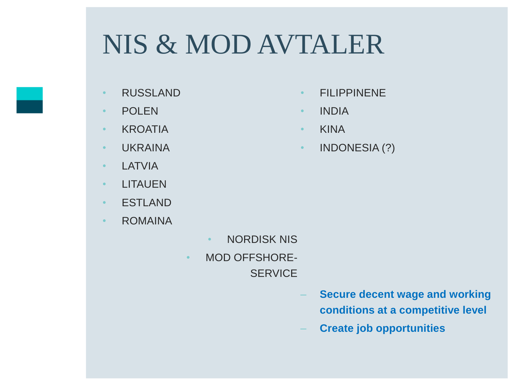# NIS & MOD AVTALER

- RUSSLAND
- POLEN
- KROATIA
- UKRAINA
- LATVIA
- LITAUEN
- ESTLAND
- ROMAINA
- **FILIPPINENE**
- INDIA
- KINA
- INDONESIA (?)

- NORDISK NIS
- MOD OFFSHORE-**SERVICE**
- **Secure decent wage and working conditions at a competitive level**
- **Create job opportunities**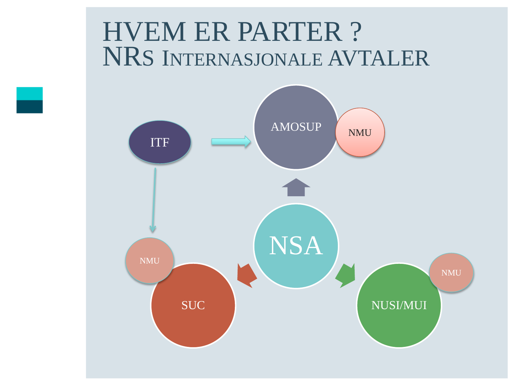## **HVEM ER PARTER ?** NRS INTERNASJONALE AVTALER

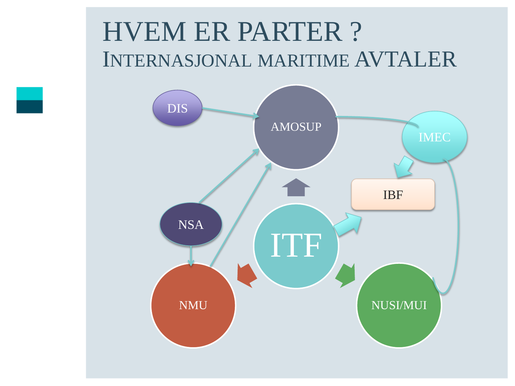## **HVEM ER PARTER?** INTERNASJONAL MARITIME AVTALER

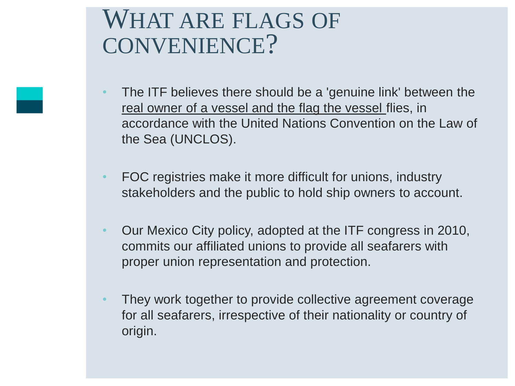#### WHAT ARE FLAGS OF CONVENIENCE?

- The ITF believes there should be a 'genuine link' between the real owner of a vessel and the flag the vessel flies, in accordance with the United Nations Convention on the Law of the Sea (UNCLOS).
- FOC registries make it more difficult for unions, industry stakeholders and the public to hold ship owners to account.
- Our Mexico City policy, adopted at the ITF congress in 2010, commits our affiliated unions to provide all seafarers with proper union representation and protection.
- They work together to provide collective agreement coverage for all seafarers, irrespective of their nationality or country of origin.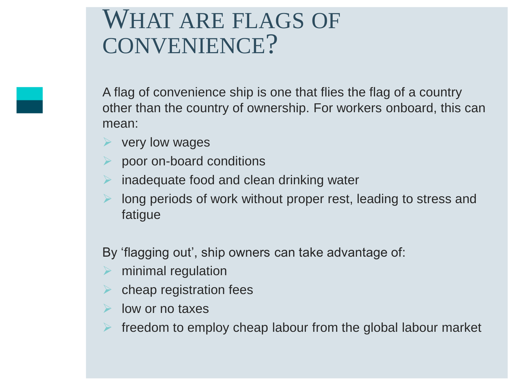#### WHAT ARE FLAGS OF CONVENIENCE?

A flag of convenience ship is one that flies the flag of a country other than the country of ownership. For workers onboard, this can mean:

- $\triangleright$  very low wages
- $\triangleright$  poor on-board conditions
- $\triangleright$  inadequate food and clean drinking water
- $\triangleright$  long periods of work without proper rest, leading to stress and fatigue

By 'flagging out', ship owners can take advantage of:

- $\triangleright$  minimal regulation
- $\triangleright$  cheap registration fees
- $\triangleright$  low or no taxes
- $\triangleright$  freedom to employ cheap labour from the global labour market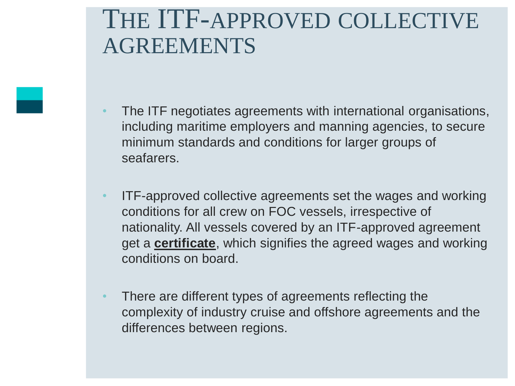#### THE ITF-APPROVED COLLECTIVE AGREEMENTS

- The ITF negotiates agreements with international organisations, including maritime employers and manning agencies, to secure minimum standards and conditions for larger groups of seafarers.
- ITF-approved collective agreements set the wages and working conditions for all crew on FOC vessels, irrespective of nationality. All vessels covered by an ITF-approved agreement get a **certificate**, which signifies the agreed wages and working conditions on board.
- There are different types of agreements reflecting the complexity of industry cruise and offshore agreements and the differences between regions.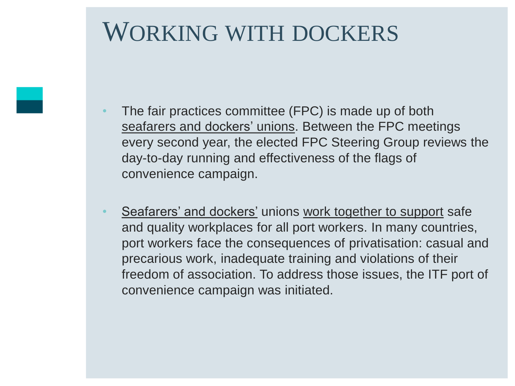## WORKING WITH DOCKERS

- The fair practices committee (FPC) is made up of both seafarers and dockers' unions. Between the FPC meetings every second year, the elected FPC Steering Group reviews the day-to-day running and effectiveness of the flags of convenience campaign.
- Seafarers' and dockers' unions work together to support safe and quality workplaces for all port workers. In many countries, port workers face the consequences of privatisation: casual and precarious work, inadequate training and violations of their freedom of association. To address those issues, the ITF port of convenience campaign was initiated.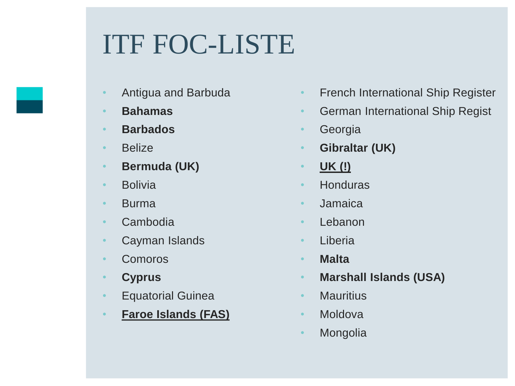# ITF FOC-LISTE

- Antigua and Barbuda
- **Bahamas**
- **Barbados**
- Belize
- **Bermuda (UK)**
- Bolivia
- Burma
- Cambodia
- Cayman Islands
- Comoros
- **Cyprus**
- Equatorial Guinea
- **Faroe Islands (FAS)**
- French International Ship Register
- German International Ship Regist
- **Georgia**
- **Gibraltar (UK)**
- **UK (!)**
- Honduras
- Jamaica
- **Lebanon**
- Liberia
- **Malta**
- **Marshall Islands (USA)**
- Mauritius
- Moldova
- Mongolia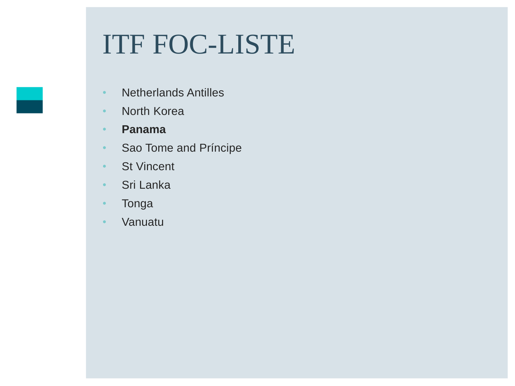# ITF FOC-LISTE

- Netherlands Antilles
- North Korea
- **Panama**
- Sao Tome and Príncipe
- St Vincent
- Sri Lanka
- Tonga
- Vanuatu